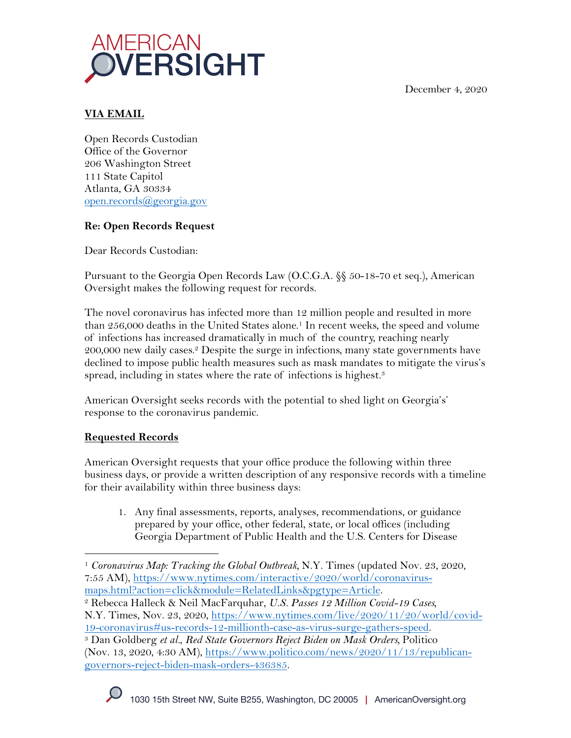December 4, 2020



## **VIA EMAIL**

Open Records Custodian Office of the Governor 206 Washington Street 111 State Capitol Atlanta, GA 30334 open.records@georgia.gov

## **Re: Open Records Request**

Dear Records Custodian:

Pursuant to the Georgia Open Records Law (O.C.G.A. §§ 50-18-70 et seq.), American Oversight makes the following request for records.

The novel coronavirus has infected more than 12 million people and resulted in more than 256,000 deaths in the United States alone. <sup>1</sup> In recent weeks, the speed and volume of infections has increased dramatically in much of the country, reaching nearly 200,000 new daily cases.2 Despite the surge in infections, many state governments have declined to impose public health measures such as mask mandates to mitigate the virus's spread, including in states where the rate of infections is highest.<sup>3</sup>

American Oversight seeks records with the potential to shed light on Georgia's' response to the coronavirus pandemic.

## **Requested Records**

American Oversight requests that your office produce the following within three business days, or provide a written description of any responsive records with a timeline for their availability within three business days:

1. Any final assessments, reports, analyses, recommendations, or guidance prepared by your office, other federal, state, or local offices (including Georgia Department of Public Health and the U.S. Centers for Disease

<sup>1</sup> *Coronavirus Map: Tracking the Global Outbreak,* N.Y. Times (updated Nov. 23, 2020, 7:55 AM), https://www.nytimes.com/interactive/2020/world/coronavirusmaps.html?action=click&module=RelatedLinks&pgtype=Article. 2 Rebecca Halleck & Neil MacFarquhar, *U.S. Passes 12 Million Covid-19 Cases,* 

N.Y. Times, Nov. 23, 2020, https://www.nytimes.com/live/2020/11/20/world/covid-

<sup>19-</sup>coronavirus#us-records-12-millionth-case-as-virus-surge-gathers-speed. 3 Dan Goldberg *et al.*, *Red State Governors Reject Biden on Mask Orders,* Politico (Nov. 13, 2020, 4:30 AM), https://www.politico.com/news/2020/11/13/republicangovernors-reject-biden-mask-orders-436385.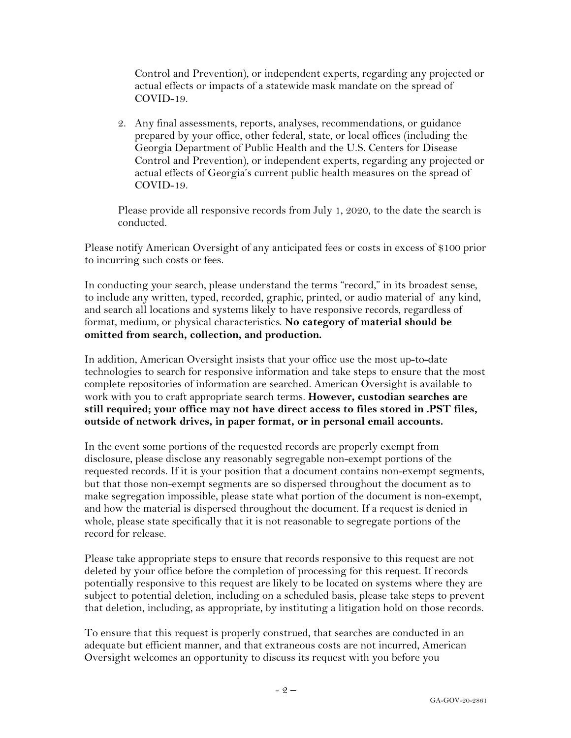Control and Prevention), or independent experts, regarding any projected or actual effects or impacts of a statewide mask mandate on the spread of COVID-19.

2. Any final assessments, reports, analyses, recommendations, or guidance prepared by your office, other federal, state, or local offices (including the Georgia Department of Public Health and the U.S. Centers for Disease Control and Prevention), or independent experts, regarding any projected or actual effects of Georgia's current public health measures on the spread of COVID-19.

Please provide all responsive records from July 1, 2020, to the date the search is conducted.

Please notify American Oversight of any anticipated fees or costs in excess of \$100 prior to incurring such costs or fees.

In conducting your search, please understand the terms "record," in its broadest sense, to include any written, typed, recorded, graphic, printed, or audio material of any kind, and search all locations and systems likely to have responsive records, regardless of format, medium, or physical characteristics. **No category of material should be omitted from search, collection, and production.**

In addition, American Oversight insists that your office use the most up-to-date technologies to search for responsive information and take steps to ensure that the most complete repositories of information are searched. American Oversight is available to work with you to craft appropriate search terms. **However, custodian searches are still required; your office may not have direct access to files stored in .PST files, outside of network drives, in paper format, or in personal email accounts.**

In the event some portions of the requested records are properly exempt from disclosure, please disclose any reasonably segregable non-exempt portions of the requested records. If it is your position that a document contains non-exempt segments, but that those non-exempt segments are so dispersed throughout the document as to make segregation impossible, please state what portion of the document is non-exempt, and how the material is dispersed throughout the document. If a request is denied in whole, please state specifically that it is not reasonable to segregate portions of the record for release.

Please take appropriate steps to ensure that records responsive to this request are not deleted by your office before the completion of processing for this request. If records potentially responsive to this request are likely to be located on systems where they are subject to potential deletion, including on a scheduled basis, please take steps to prevent that deletion, including, as appropriate, by instituting a litigation hold on those records.

To ensure that this request is properly construed, that searches are conducted in an adequate but efficient manner, and that extraneous costs are not incurred, American Oversight welcomes an opportunity to discuss its request with you before you